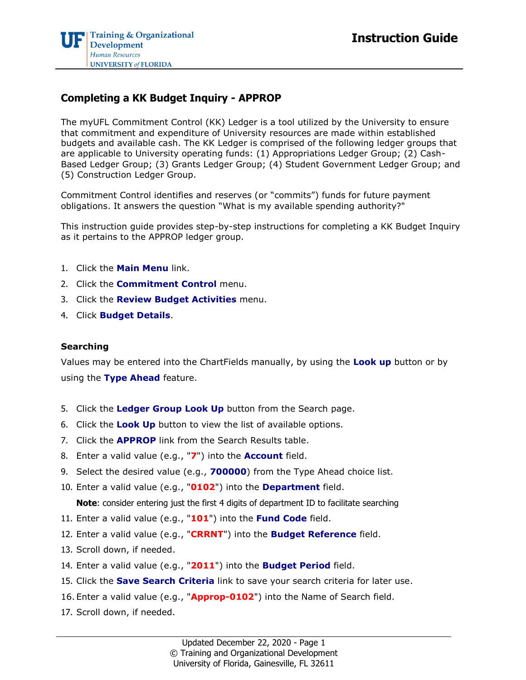## **Completing a KK Budget Inquiry - APPROP**

The myUFL Commitment Control (KK) Ledger is a tool utilized by the University to ensure that commitment and expenditure of University resources are made within established budgets and available cash. The KK Ledger is comprised of the following ledger groups that are applicable to University operating funds: (1) Appropriations Ledger Group; (2) Cash-Based Ledger Group; (3) Grants Ledger Group; (4) Student Government Ledger Group; and (5) Construction Ledger Group.

Commitment Control identifies and reserves (or "commits") funds for future payment obligations. It answers the question "What is my available spending authority?"

This instruction guide provides step-by-step instructions for completing a KK Budget Inquiry as it pertains to the APPROP ledger group.

- 1. Click the **Main Menu** link.
- 2. Click the **Commitment Control** menu.
- 3. Click the **Review Budget Activities** menu.
- 4. Click **Budget Details**.

## **Searching**

Values may be entered into the ChartFields manually, by using the **Look up** button or by using the **Type Ahead** feature.

- 5. Click the **Ledger Group Look Up** button from the Search page.
- 6. Click the **Look Up** button to view the list of available options.
- 7. Click the **APPROP** link from the Search Results table.
- 8. Enter a valid value (e.g., "**7**") into the **Account** field.
- 9. Select the desired value (e.g., **700000**) from the Type Ahead choice list.
- 10. Enter a valid value (e.g., "**0102**") into the **Department** field.

**Note**: consider entering just the first 4 digits of department ID to facilitate searching

- 11. Enter a valid value (e.g., "**101**") into the **Fund Code** field.
- 12. Enter a valid value (e.g., "**CRRNT**") into the **Budget Reference** field.
- 13. Scroll down, if needed.
- 14. Enter a valid value (e.g., "**2011**") into the **Budget Period** field.
- 15. Click the **Save Search Criteria** link to save your search criteria for later use.
- 16. Enter a valid value (e.g., "**Approp-0102**") into the Name of Search field.
- 17. Scroll down, if needed.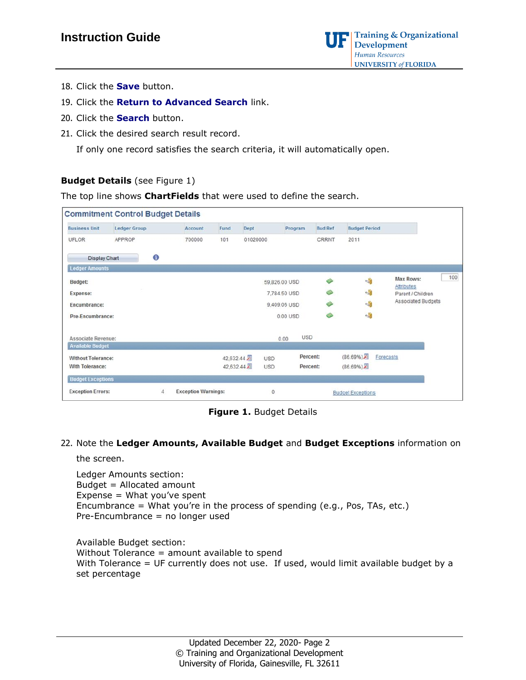

- 18. Click the **Save** button.
- 19. Click the **Return to Advanced Search** link.
- 20. Click the **Search** button.
- 21. Click the desired search result record.

If only one record satisfies the search criteria, it will automatically open.

## **Budget Details** (see Figure 1)

The top line shows **ChartFields** that were used to define the search.

| <b>Commitment Control Budget Details</b> |                     |           |                            |           |            |               |            |                |                          |                                        |     |
|------------------------------------------|---------------------|-----------|----------------------------|-----------|------------|---------------|------------|----------------|--------------------------|----------------------------------------|-----|
| <b>Business Unit</b>                     | <b>Ledger Group</b> |           | Account                    | Fund      | Dept       | Program       |            | <b>Bud Ref</b> | <b>Budget Period</b>     |                                        |     |
| UFLOR                                    | APPROP              |           | 700000                     | 101       | 01020000   |               |            | CRRNT          | 2011                     |                                        |     |
| <b>Display Chart</b>                     |                     | $\bullet$ |                            |           |            |               |            |                |                          |                                        |     |
| <b>Ledger Amounts</b>                    |                     |           |                            |           |            |               |            |                |                          |                                        |     |
| <b>Budget:</b>                           |                     |           |                            |           |            | 59,826.00 USD |            | ٨              | 仙                        | Max Rows:                              | 100 |
| Expense:                                 |                     |           |                            |           |            | 7,784.50 USD  |            |                | 一般                       | <b>Attributes</b><br>Parent / Children |     |
| Encumbrance:                             |                     |           |                            |           |            | 9,409.06 USD  |            | Ø              | 一                        | Associated Budgets                     |     |
| Pre-Encumbrance:                         |                     |           |                            |           |            | 0.00 USD      |            | া              | 岫                        |                                        |     |
| Associate Revenue:                       |                     |           |                            |           |            | 0.00          | <b>USD</b> |                |                          |                                        |     |
| <b>Available Budget</b>                  |                     |           |                            |           |            |               |            |                |                          |                                        |     |
| <b>Without Tolerance:</b>                |                     |           |                            | 42,632.44 | <b>USD</b> |               | Percent:   |                | (86.69%)                 | Forecasts                              |     |
| With Tolerance:                          |                     |           |                            | 42,632.44 | <b>USD</b> |               | Percent:   |                | $(86.69\%)$              |                                        |     |
| <b>Budget Exceptions</b>                 |                     |           |                            |           |            |               |            |                |                          |                                        |     |
| <b>Exception Errors:</b>                 |                     | 4         | <b>Exception Warnings:</b> |           | Ö          |               |            |                | <b>Budget Exceptions</b> |                                        |     |

**Figure 1.** Budget Details

22. Note the **Ledger Amounts, Available Budget** and **Budget Exceptions** information on

the screen.

Ledger Amounts section: Budget = Allocated amount Expense = What you've spent Encumbrance = What you're in the process of spending (e.g., Pos, TAs, etc.) Pre-Encumbrance = no longer used

Available Budget section: Without Tolerance = amount available to spend With Tolerance = UF currently does not use. If used, would limit available budget by a set percentage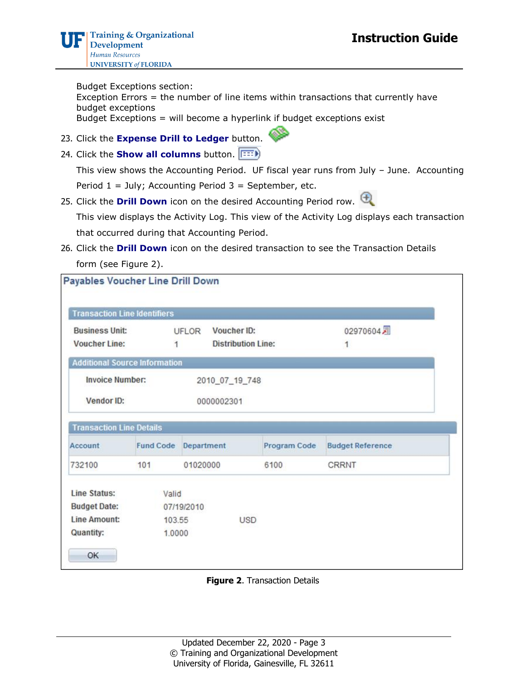Budget Exceptions section: Exception Errors = the number of line items within transactions that currently have budget exceptions Budget Exceptions = will become a hyperlink if budget exceptions exist

- 23. Click the **Expense Drill to Ledger** button.
- 24. Click the **Show all columns** button.

This view shows the Accounting Period. UF fiscal year runs from July – June. Accounting Period  $1 =$  July; Accounting Period  $3 =$  September, etc.

25. Click the **Drill Down** icon on the desired Accounting Period row.

This view displays the Activity Log. This view of the Activity Log displays each transaction that occurred during that Accounting Period.

26. Click the **Drill Down** icon on the desired transaction to see the Transaction Details form (see Figure 2).

|                                      | <b>Transaction Line Identifiers</b> |                             |                           |                         |
|--------------------------------------|-------------------------------------|-----------------------------|---------------------------|-------------------------|
| <b>Business Unit:</b>                |                                     | Voucher ID:<br><b>UFLOR</b> |                           | 02970604月               |
| <b>Voucher Line:</b>                 | 1                                   |                             | <b>Distribution Line:</b> | 1                       |
| <b>Additional Source Information</b> |                                     |                             |                           |                         |
| <b>Invoice Number:</b>               |                                     | 2010_07_19_748              |                           |                         |
|                                      |                                     |                             |                           |                         |
| Vendor ID:                           |                                     | 0000002301                  |                           |                         |
|                                      |                                     |                             |                           |                         |
| <b>Transaction Line Details</b>      |                                     |                             |                           |                         |
|                                      | <b>Fund Code</b>                    | Department                  | Program Code              | <b>Budget Reference</b> |
|                                      | 101                                 | 01020000                    | 6100                      | CRRNT                   |
| Account<br>732100<br>Line Status:    | Valid                               |                             |                           |                         |
| <b>Budget Date:</b>                  |                                     | 07/19/2010                  |                           |                         |
| <b>Line Amount:</b>                  | 103.55                              |                             | <b>USD</b>                |                         |